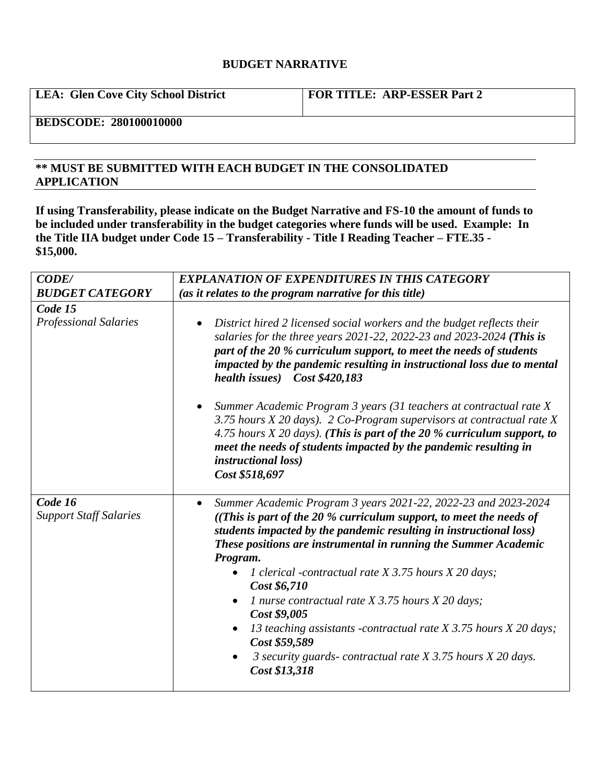## **BUDGET NARRATIVE**

**LEA: Glen Cove City School District FOR TITLE: ARP-ESSER Part 2**

## **BEDSCODE: 280100010000**

## **\*\* MUST BE SUBMITTED WITH EACH BUDGET IN THE CONSOLIDATED APPLICATION**

**If using Transferability, please indicate on the Budget Narrative and FS-10 the amount of funds to be included under transferability in the budget categories where funds will be used. Example: In the Title IIA budget under Code 15 – Transferability - Title I Reading Teacher – FTE.35 - \$15,000.**

| <b>CODE/</b>                             | <b>EXPLANATION OF EXPENDITURES IN THIS CATEGORY</b>                                                                                                                                                                                                                                                                                                                                                                                                                                                                                                                                                                                                                                                            |
|------------------------------------------|----------------------------------------------------------------------------------------------------------------------------------------------------------------------------------------------------------------------------------------------------------------------------------------------------------------------------------------------------------------------------------------------------------------------------------------------------------------------------------------------------------------------------------------------------------------------------------------------------------------------------------------------------------------------------------------------------------------|
| <b>BUDGET CATEGORY</b>                   | (as it relates to the program narrative for this title)                                                                                                                                                                                                                                                                                                                                                                                                                                                                                                                                                                                                                                                        |
| Code 15<br><b>Professional Salaries</b>  | District hired 2 licensed social workers and the budget reflects their<br>$\bullet$<br>salaries for the three years 2021-22, 2022-23 and 2023-2024 (This is<br>part of the 20 % curriculum support, to meet the needs of students<br>impacted by the pandemic resulting in instructional loss due to mental<br>health issues) Cost \$420,183<br>Summer Academic Program 3 years (31 teachers at contractual rate X<br>$\bullet$<br>3.75 hours $X$ 20 days). 2 Co-Program supervisors at contractual rate $X$<br>4.75 hours $X$ 20 days). (This is part of the 20 % curriculum support, to<br>meet the needs of students impacted by the pandemic resulting in<br><i>instructional loss</i> )<br>Cost \$518,697 |
| Code 16<br><b>Support Staff Salaries</b> | Summer Academic Program 3 years 2021-22, 2022-23 and 2023-2024<br>$\bullet$<br>((This is part of the 20 % curriculum support, to meet the needs of<br>students impacted by the pandemic resulting in instructional loss)<br>These positions are instrumental in running the Summer Academic<br>Program.<br>1 clerical -contractual rate X 3.75 hours X 20 days;<br>$\bullet$<br>Cost \$6,710<br>1 nurse contractual rate $X$ 3.75 hours $X$ 20 days;<br>$\bullet$<br>Cost \$9,005<br>13 teaching assistants -contractual rate X 3.75 hours X 20 days;<br>$\bullet$<br>Cost \$59,589<br>3 security guards-contractual rate X 3.75 hours X 20 days.<br>$\bullet$<br>Cost \$13,318                                |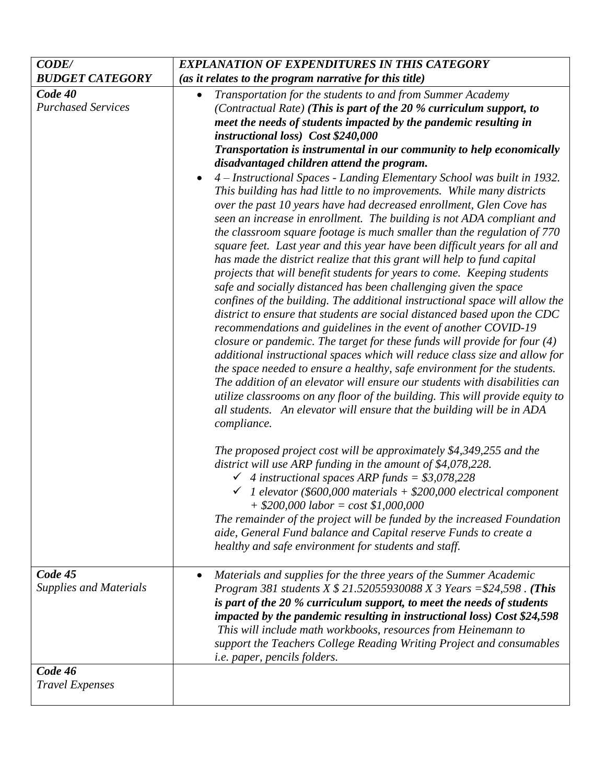| <b>CODE/</b>                             | <b>EXPLANATION OF EXPENDITURES IN THIS CATEGORY</b>                                                                                                                                                                                                                                                                                                                                                                                                                                                                                                                                                                                                                                                                                                                                                                                                                                                                                                                                                                                                                                                                                                                                                                                                                                                                                                                                                                                                                                                                                                                                                                                                                                                                                                                                                                                                                                                                                                                                                                   |
|------------------------------------------|-----------------------------------------------------------------------------------------------------------------------------------------------------------------------------------------------------------------------------------------------------------------------------------------------------------------------------------------------------------------------------------------------------------------------------------------------------------------------------------------------------------------------------------------------------------------------------------------------------------------------------------------------------------------------------------------------------------------------------------------------------------------------------------------------------------------------------------------------------------------------------------------------------------------------------------------------------------------------------------------------------------------------------------------------------------------------------------------------------------------------------------------------------------------------------------------------------------------------------------------------------------------------------------------------------------------------------------------------------------------------------------------------------------------------------------------------------------------------------------------------------------------------------------------------------------------------------------------------------------------------------------------------------------------------------------------------------------------------------------------------------------------------------------------------------------------------------------------------------------------------------------------------------------------------------------------------------------------------------------------------------------------------|
| <b>BUDGET CATEGORY</b>                   | (as it relates to the program narrative for this title)                                                                                                                                                                                                                                                                                                                                                                                                                                                                                                                                                                                                                                                                                                                                                                                                                                                                                                                                                                                                                                                                                                                                                                                                                                                                                                                                                                                                                                                                                                                                                                                                                                                                                                                                                                                                                                                                                                                                                               |
| Code 40<br><b>Purchased Services</b>     | Transportation for the students to and from Summer Academy<br>$\bullet$<br>(Contractual Rate) (This is part of the 20 % curriculum support, to<br>meet the needs of students impacted by the pandemic resulting in<br>instructional loss) Cost \$240,000<br>Transportation is instrumental in our community to help economically<br>disadvantaged children attend the program.<br>4 – Instructional Spaces - Landing Elementary School was built in 1932.<br>$\bullet$<br>This building has had little to no improvements. While many districts<br>over the past 10 years have had decreased enrollment, Glen Cove has<br>seen an increase in enrollment. The building is not ADA compliant and<br>the classroom square footage is much smaller than the regulation of 770<br>square feet. Last year and this year have been difficult years for all and<br>has made the district realize that this grant will help to fund capital<br>projects that will benefit students for years to come. Keeping students<br>safe and socially distanced has been challenging given the space<br>confines of the building. The additional instructional space will allow the<br>district to ensure that students are social distanced based upon the CDC<br>recommendations and guidelines in the event of another COVID-19<br>closure or pandemic. The target for these funds will provide for four $(4)$<br>additional instructional spaces which will reduce class size and allow for<br>the space needed to ensure a healthy, safe environment for the students.<br>The addition of an elevator will ensure our students with disabilities can<br>utilize classrooms on any floor of the building. This will provide equity to<br>all students. An elevator will ensure that the building will be in ADA<br>compliance.<br>The proposed project cost will be approximately \$4,349,255 and the<br>district will use ARP funding in the amount of \$4,078,228.<br>$\checkmark$ 4 instructional spaces ARP funds = \$3,078,228 |
|                                          | $\checkmark$ 1 elevator (\$600,000 materials + \$200,000 electrical component<br>$+$ \$200,000 labor = cost \$1,000,000<br>The remainder of the project will be funded by the increased Foundation<br>aide, General Fund balance and Capital reserve Funds to create a<br>healthy and safe environment for students and staff.                                                                                                                                                                                                                                                                                                                                                                                                                                                                                                                                                                                                                                                                                                                                                                                                                                                                                                                                                                                                                                                                                                                                                                                                                                                                                                                                                                                                                                                                                                                                                                                                                                                                                        |
| Code 45<br><b>Supplies and Materials</b> | Materials and supplies for the three years of the Summer Academic<br>$\bullet$<br><i>Program 381 students X \$ 21.52055930088 X 3 Years = \$24,598 . (This</i><br>is part of the 20 % curriculum support, to meet the needs of students<br>impacted by the pandemic resulting in instructional loss) Cost \$24,598<br>This will include math workbooks, resources from Heinemann to<br>support the Teachers College Reading Writing Project and consumables<br><i>i.e. paper, pencils folders.</i>                                                                                                                                                                                                                                                                                                                                                                                                                                                                                                                                                                                                                                                                                                                                                                                                                                                                                                                                                                                                                                                                                                                                                                                                                                                                                                                                                                                                                                                                                                                    |
| Code 46<br><b>Travel Expenses</b>        |                                                                                                                                                                                                                                                                                                                                                                                                                                                                                                                                                                                                                                                                                                                                                                                                                                                                                                                                                                                                                                                                                                                                                                                                                                                                                                                                                                                                                                                                                                                                                                                                                                                                                                                                                                                                                                                                                                                                                                                                                       |